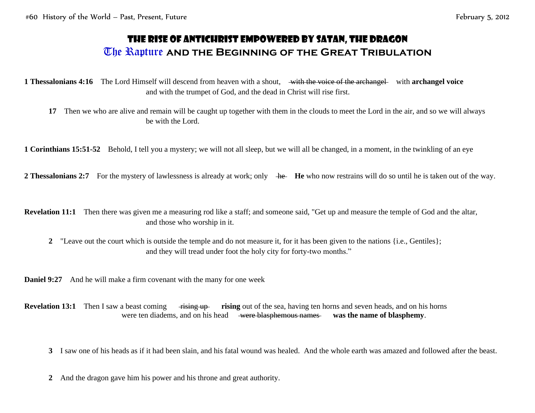## The Rise of Antichrist Empowered by Satan, the Dragon The Rapture **and the Beginning of the Great Tribulation**

**1 Thessalonians 4:16** The Lord Himself will descend from heaven with a shout, with the voice of the archangel with **archangel voice** and with the trumpet of God, and the dead in Christ will rise first.

**17** Then we who are alive and remain will be caught up together with them in the clouds to meet the Lord in the air, and so we will always be with the Lord.

**1 Corinthians 15:51-52** Behold, I tell you a mystery; we will not all sleep, but we will all be changed, in a moment, in the twinkling of an eye

**2 Thessalonians 2:7** For the mystery of lawlessness is already at work; only he **He** who now restrains will do so until he is taken out of the way.

**Revelation 11:1** Then there was given me a measuring rod like a staff; and someone said, "Get up and measure the temple of God and the altar, and those who worship in it.

**2** "Leave out the court which is outside the temple and do not measure it, for it has been given to the nations {i.e., Gentiles}; and they will tread under foot the holy city for forty-two months."

**Daniel 9:27** And he will make a firm covenant with the many for one week

**Revelation 13:1** Then I saw a beast coming rising up rising out of the sea, having ten horns and seven heads, and on his horns were ten diadems, and on his head were blasphemous names was the name of blasphemy.

**3** I saw one of his heads as if it had been slain, and his fatal wound was healed. And the whole earth was amazed and followed after the beast.

**2** And the dragon gave him his power and his throne and great authority.